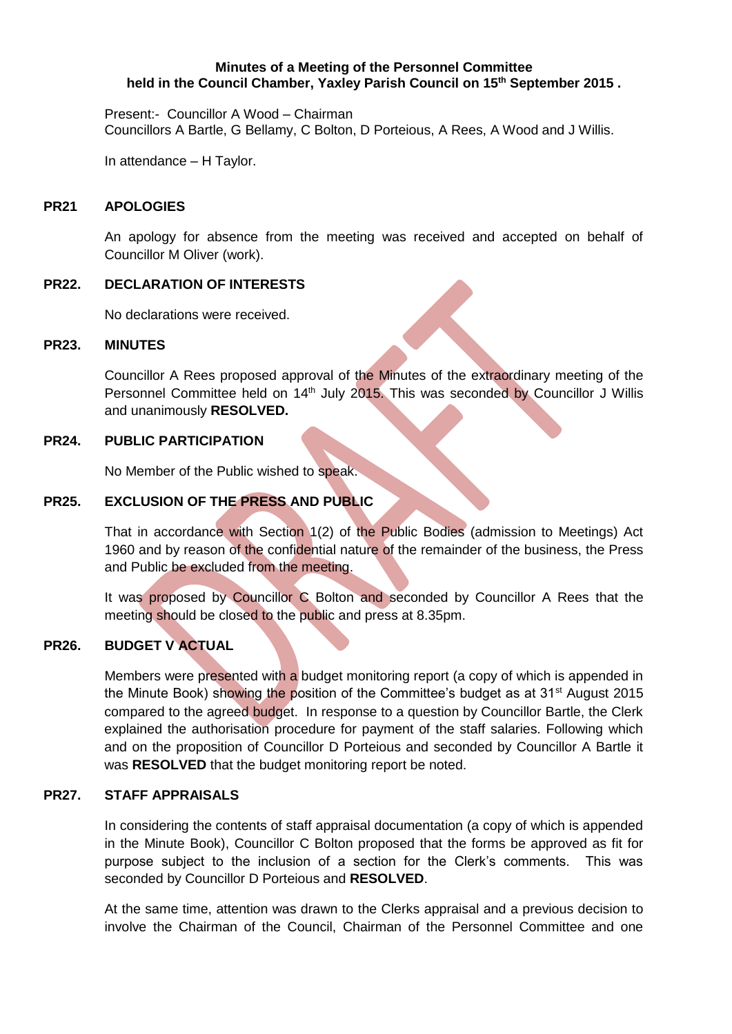#### **Minutes of a Meeting of the Personnel Committee held in the Council Chamber, Yaxley Parish Council on 15 th September 2015 .**

Present:- Councillor A Wood – Chairman Councillors A Bartle, G Bellamy, C Bolton, D Porteious, A Rees, A Wood and J Willis.

In attendance – H Taylor.

## **PR21 APOLOGIES**

An apology for absence from the meeting was received and accepted on behalf of Councillor M Oliver (work).

## **PR22. DECLARATION OF INTERESTS**

No declarations were received.

#### **PR23. MINUTES**

Councillor A Rees proposed approval of the Minutes of the extraordinary meeting of the Personnel Committee held on 14<sup>th</sup> July 2015. This was seconded by Councillor J Willis and unanimously **RESOLVED.**

## **PR24. PUBLIC PARTICIPATION**

No Member of the Public wished to speak.

## **PR25. EXCLUSION OF THE PRESS AND PUBLIC**

That in accordance with Section 1(2) of the Public Bodies (admission to Meetings) Act 1960 and by reason of the confidential nature of the remainder of the business, the Press and Public be excluded from the meeting.

It was proposed by Councillor C Bolton and seconded by Councillor A Rees that the meeting should be closed to the public and press at 8.35pm.

# **PR26. BUDGET V ACTUAL**

Members were presented with a budget monitoring report (a copy of which is appended in the Minute Book) showing the position of the Committee's budget as at 31<sup>st</sup> August 2015 compared to the agreed budget. In response to a question by Councillor Bartle, the Clerk explained the authorisation procedure for payment of the staff salaries. Following which and on the proposition of Councillor D Porteious and seconded by Councillor A Bartle it was **RESOLVED** that the budget monitoring report be noted.

## **PR27. STAFF APPRAISALS**

In considering the contents of staff appraisal documentation (a copy of which is appended in the Minute Book), Councillor C Bolton proposed that the forms be approved as fit for purpose subject to the inclusion of a section for the Clerk's comments. This was seconded by Councillor D Porteious and **RESOLVED**.

At the same time, attention was drawn to the Clerks appraisal and a previous decision to involve the Chairman of the Council, Chairman of the Personnel Committee and one